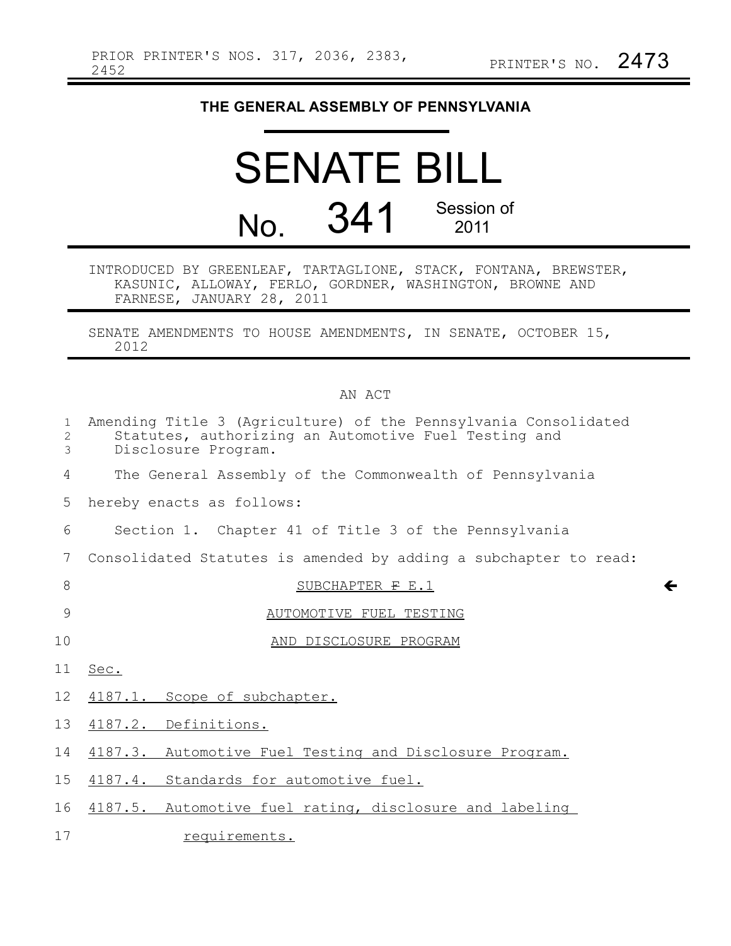## **THE GENERAL ASSEMBLY OF PENNSYLVANIA**

|                | <b>SENATE BILL</b> |                    |
|----------------|--------------------|--------------------|
| N <sub>O</sub> | 341                | Session of<br>2011 |

INTRODUCED BY GREENLEAF, TARTAGLIONE, STACK, FONTANA, BREWSTER, KASUNIC, ALLOWAY, FERLO, GORDNER, WASHINGTON, BROWNE AND FARNESE, JANUARY 28, 2011

SENATE AMENDMENTS TO HOUSE AMENDMENTS, IN SENATE, OCTOBER 15, 2012

## AN ACT

| 1<br>2<br>3 | Amending Title 3 (Agriculture) of the Pennsylvania Consolidated<br>Statutes, authorizing an Automotive Fuel Testing and<br>Disclosure Program. |
|-------------|------------------------------------------------------------------------------------------------------------------------------------------------|
| 4           | The General Assembly of the Commonwealth of Pennsylvania                                                                                       |
| 5           | hereby enacts as follows:                                                                                                                      |
| 6           | Section 1. Chapter 41 of Title 3 of the Pennsylvania                                                                                           |
| 7           | Consolidated Statutes is amended by adding a subchapter to read:                                                                               |
| 8           | $\leftarrow$<br>SUBCHAPTER F E.1                                                                                                               |
| 9           | AUTOMOTIVE FUEL TESTING                                                                                                                        |
| 10          | AND DISCLOSURE PROGRAM                                                                                                                         |
| 11          | Sec.                                                                                                                                           |
| 12          | 4187.1. Scope of subchapter.                                                                                                                   |
| 13          | 4187.2. Definitions.                                                                                                                           |
| 14          | 4187.3. Automotive Fuel Testing and Disclosure Program.                                                                                        |
| 15          | 4187.4. Standards for automotive fuel.                                                                                                         |
| 16          | 4187.5. Automotive fuel rating, disclosure and labeling                                                                                        |
| 17          | requirements.                                                                                                                                  |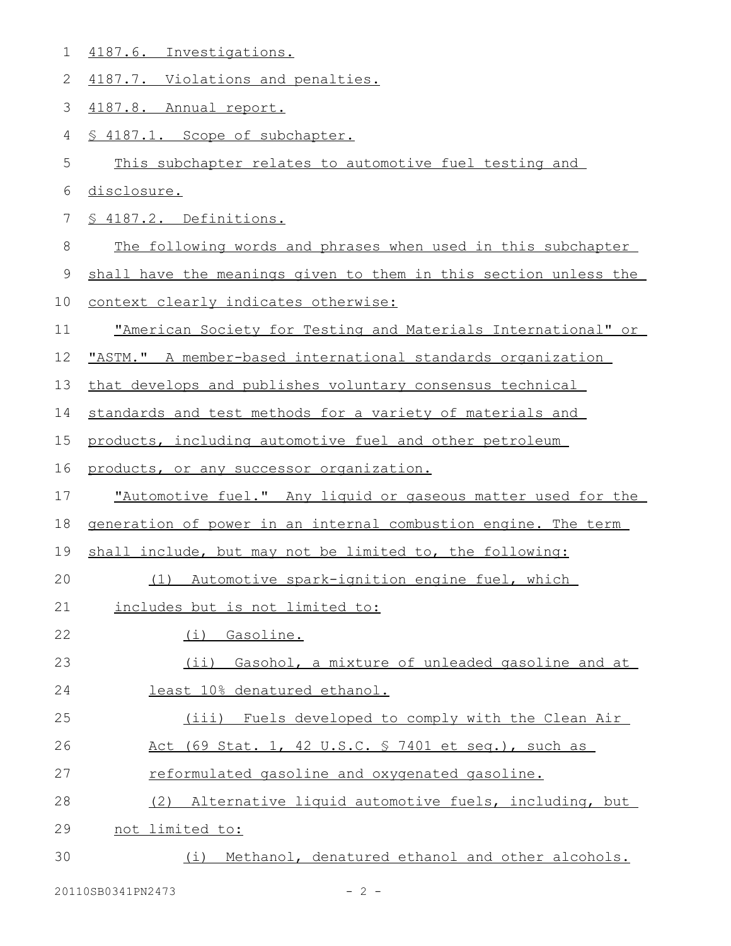| $\mathbf 1$    | 4187.6. Investigations.                                          |
|----------------|------------------------------------------------------------------|
| $\overline{2}$ | 4187.7. Violations and penalties.                                |
| 3              | 4187.8. Annual report.                                           |
| 4              | § 4187.1. Scope of subchapter.                                   |
| 5              | This subchapter relates to automotive fuel testing and           |
| 6              | disclosure.                                                      |
| $7\phantom{.}$ | § 4187.2. Definitions.                                           |
| 8              | The following words and phrases when used in this subchapter     |
| $\mathsf 9$    | shall have the meanings given to them in this section unless the |
| 10             | context clearly indicates otherwise:                             |
| 11             | "American Society for Testing and Materials International" or    |
| 12             | "ASTM." A member-based international standards organization      |
| 13             | that develops and publishes voluntary consensus technical        |
| 14             | standards and test methods for a variety of materials and        |
| 15             | products, including automotive fuel and other petroleum          |
| 16             | products, or any successor organization.                         |
| 17             | "Automotive fuel." Any liquid or gaseous matter used for the     |
| 18             | generation of power in an internal combustion engine. The term   |
| 19             | shall include, but may not be limited to, the following:         |
| 20             | (1)<br>Automotive spark-ignition engine fuel, which              |
| 21             | includes but is not limited to:                                  |
| 22             | Gasoline.<br>(i)                                                 |
| 23             | Gasohol, a mixture of unleaded gasoline and at<br>(i)            |
| 24             | least 10% denatured ethanol.                                     |
| 25             | (iii) Fuels developed to comply with the Clean Air               |
| 26             | Act (69 Stat. 1, 42 U.S.C. § 7401 et seq.), such as              |
| 27             | reformulated gasoline and oxygenated gasoline.                   |
|                |                                                                  |
| 28             | Alternative liquid automotive fuels, including, but<br>(2)       |
| 29             | not limited to:                                                  |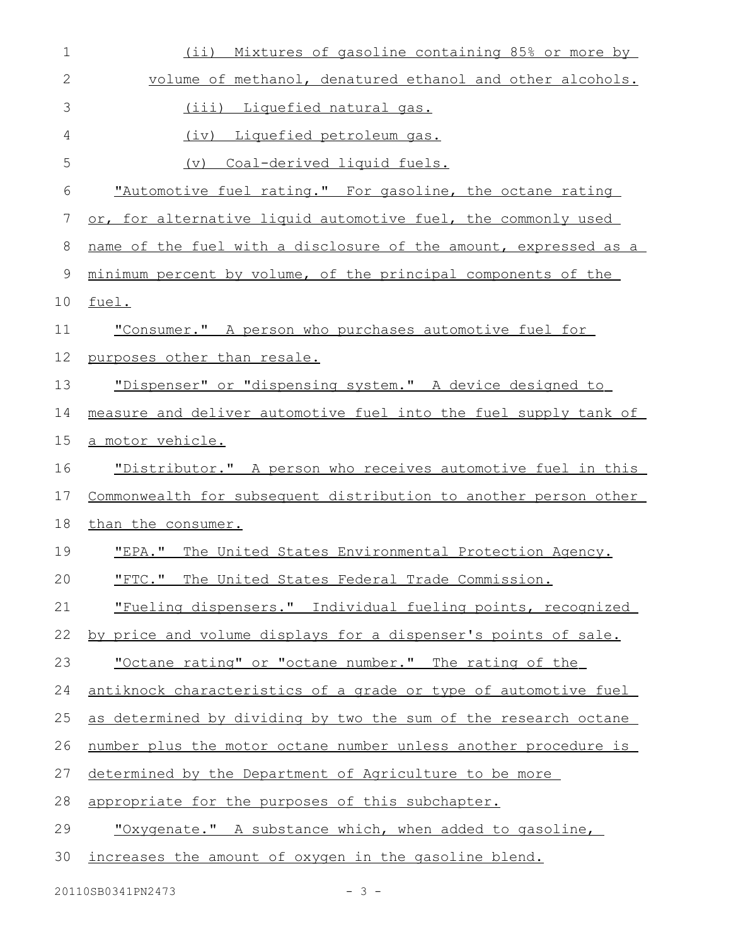| 1            | (i)<br>Mixtures of gasoline containing 85% or more by            |
|--------------|------------------------------------------------------------------|
| $\mathbf{2}$ | volume of methanol, denatured ethanol and other alcohols.        |
| 3            | (iii) Liquefied natural gas.                                     |
| 4            | (iv) Liquefied petroleum gas.                                    |
| 5            | <u>Coal-derived liquid fuels.</u><br>(v)                         |
| 6            | "Automotive fuel rating." For gasoline, the octane rating        |
| 7            | or, for alternative liquid automotive fuel, the commonly used    |
| 8            | name of the fuel with a disclosure of the amount, expressed as a |
| 9            | minimum percent by volume, of the principal components of the    |
| 10           | fuel.                                                            |
| 11           | "Consumer." A person who purchases automotive fuel for           |
| 12           | purposes other than resale.                                      |
| 13           | "Dispenser" or "dispensing system." A device designed to         |
| 14           | measure and deliver automotive fuel into the fuel supply tank of |
| 15           | <u>a motor vehicle.</u>                                          |
| 16           | "Distributor." A person who receives automotive fuel in this     |
| 17           | Commonwealth for subsequent distribution to another person other |
| 18           | than the consumer.                                               |
| 19           | The United States Environmental Protection Agency.<br>"EPA."     |
| 20           | "FTC." The United States Federal Trade Commission.               |
| 21           | "Fueling dispensers." Individual fueling points, recognized      |
| 22           | by price and volume displays for a dispenser's points of sale.   |
| 23           | "Octane rating" or "octane number." The rating of the            |
| 24           | antiknock characteristics of a grade or type of automotive fuel  |
| 25           | as determined by dividing by two the sum of the research octane  |
| 26           | number plus the motor octane number unless another procedure is  |
| 27           | determined by the Department of Agriculture to be more           |
| 28           | appropriate for the purposes of this subchapter.                 |
| 29           | "Oxygenate." A substance which, when added to gasoline,          |
| 30           | increases the amount of oxygen in the gasoline blend.            |

20110SB0341PN2473 - 3 -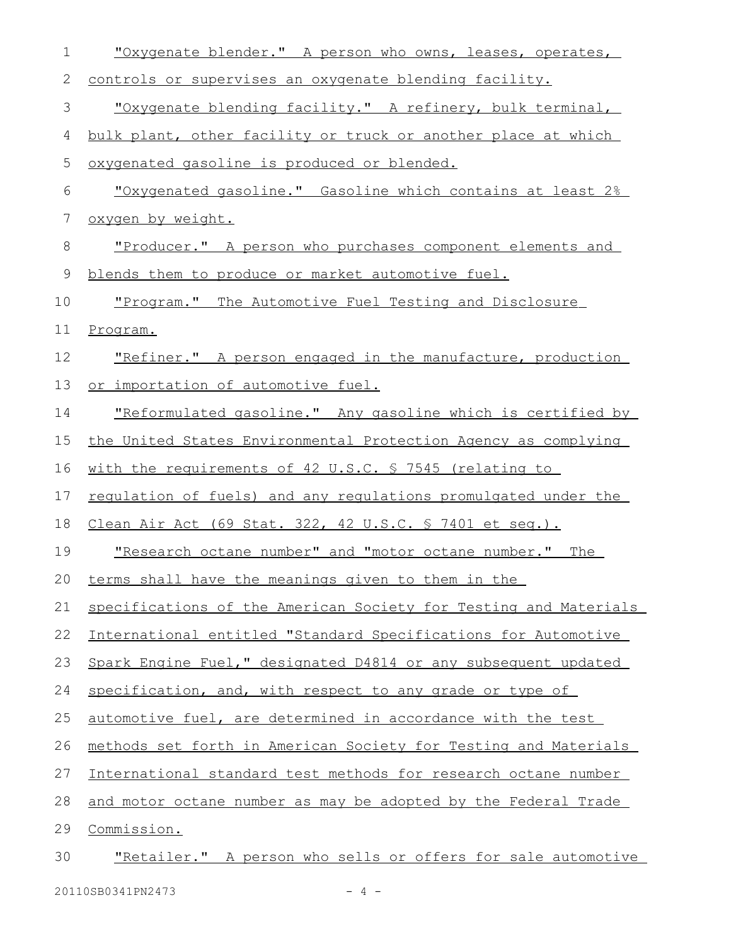| $\mathbf 1$ | "Oxygenate blender." A person who owns, leases, operates,             |
|-------------|-----------------------------------------------------------------------|
| 2           | controls or supervises an oxygenate blending facility.                |
| 3           | "Oxygenate blending facility." A refinery, bulk terminal,             |
| 4           | bulk plant, other facility or truck or another place at which         |
| 5           | oxygenated gasoline is produced or blended.                           |
| 6           | "Oxygenated gasoline." Gasoline which contains at least 2%            |
| 7           | oxygen by weight.                                                     |
| 8           | "Producer." A person who purchases component elements and             |
| 9           | blends them to produce or market automotive fuel.                     |
| 10          | "Program." The Automotive Fuel Testing and Disclosure                 |
| 11          | Program.                                                              |
| 12          | "Refiner." A person engaged in the manufacture, production            |
| 13          | or importation of automotive fuel.                                    |
| 14          | "Reformulated gasoline." Any gasoline which is certified by           |
| 15          | the United States Environmental Protection Agency as complying        |
| 16          | with the requirements of 42 U.S.C. \$ 7545 (relating to               |
| 17          | <u>requlation of fuels) and any requlations promulgated under the</u> |
| 18          | Clean Air Act (69 Stat. 322, 42 U.S.C. § 7401 et seq.).               |
| 19          | "Research octane number" and "motor octane number." The               |
| 20          | terms shall have the meanings given to them in the                    |
| 21          | specifications of the American Society for Testing and Materials      |
| 22          | International entitled "Standard Specifications for Automotive        |
| 23          | Spark Engine Fuel," designated D4814 or any subsequent updated        |
| 24          | specification, and, with respect to any grade or type of              |
| 25          | automotive fuel, are determined in accordance with the test           |
| 26          | methods set forth in American Society for Testing and Materials       |
| 27          | International standard test methods for research octane number        |
| 28          | and motor octane number as may be adopted by the Federal Trade        |
| 29          | Commission.                                                           |
| 30          | "Retailer." A person who sells or offers for sale automotive          |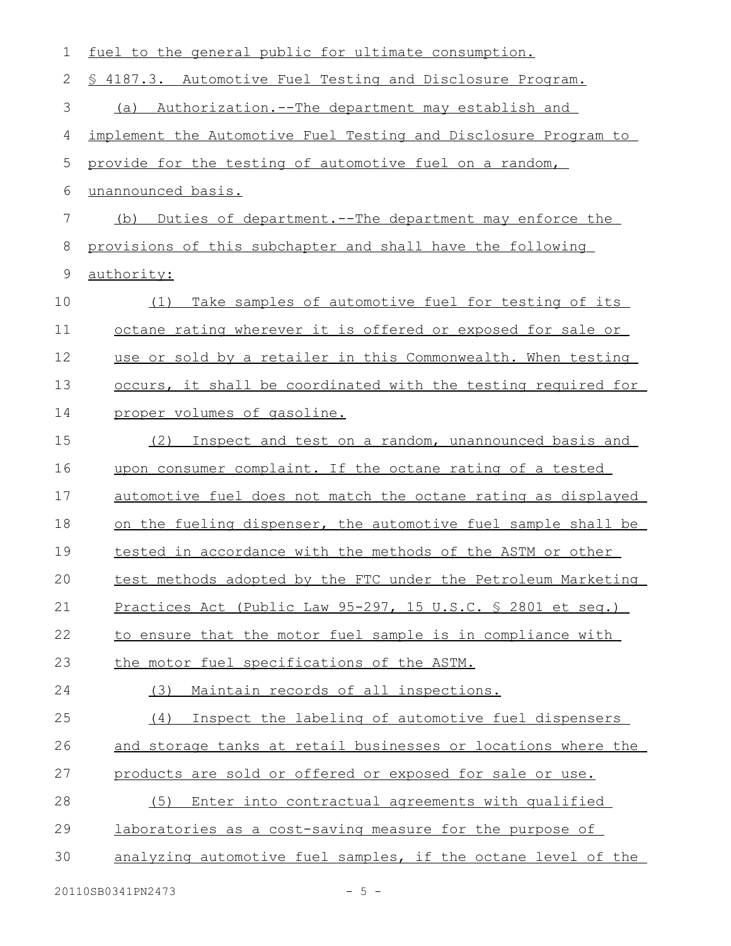| 1  | fuel to the general public for ultimate consumption.               |
|----|--------------------------------------------------------------------|
| 2  | \$ 4187.3. Automotive Fuel Testing and Disclosure Program.         |
| 3  | <u>Authorization.--The department may establish and</u><br>(a)     |
| 4  | implement the Automotive Fuel Testing and Disclosure Program to    |
| 5  | provide for the testing of automotive fuel on a random,            |
| 6  | unannounced basis.                                                 |
| 7  | Duties of department. -- The department may enforce the<br>(b)     |
| 8  | provisions of this subchapter and shall have the following         |
| 9  | authority:                                                         |
| 10 | Take samples of automotive fuel for testing of its<br>(1)          |
| 11 | <u>octane rating wherever it is offered or exposed for sale or</u> |
| 12 | use or sold by a retailer in this Commonwealth. When testing       |
| 13 | occurs, it shall be coordinated with the testing required for      |
| 14 | proper volumes of gasoline.                                        |
| 15 | Inspect and test on a random, unannounced basis and<br>(2)         |
| 16 | upon consumer complaint. If the octane rating of a tested          |
| 17 | automotive fuel does not match the octane rating as displayed      |
| 18 | on the fueling dispenser, the automotive fuel sample shall be      |
| 19 | tested in accordance with the methods of the ASTM or other         |
| 20 | test methods adopted by the FTC under the Petroleum Marketing      |
| 21 | <u>Practices Act (Public Law 95-297, 15 U.S.C. § 2801 et seq.)</u> |
| 22 | to ensure that the motor fuel sample is in compliance with         |
| 23 | the motor fuel specifications of the ASTM.                         |
| 24 | (3)<br>Maintain records of all inspections.                        |
| 25 | (4)<br>Inspect the labeling of automotive fuel dispensers          |
| 26 | and storage tanks at retail businesses or locations where the      |
| 27 | products are sold or offered or exposed for sale or use.           |
| 28 | (5)<br>Enter into contractual agreements with qualified            |
| 29 | laboratories as a cost-saving measure for the purpose of           |
| 30 | analyzing automotive fuel samples, if the octane level of the      |
|    |                                                                    |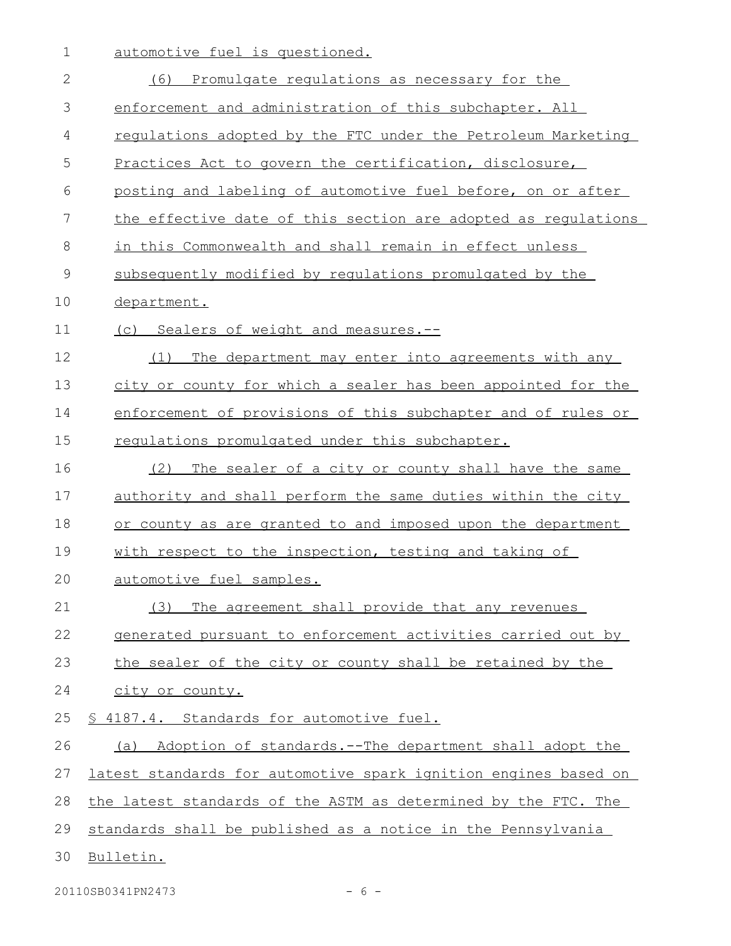1 automotive fuel is questioned.

| $\overline{2}$ | (6)<br>Promulgate regulations as necessary for the              |
|----------------|-----------------------------------------------------------------|
| 3              | enforcement and administration of this subchapter. All          |
| 4              | requiations adopted by the FTC under the Petroleum Marketing    |
| 5              | Practices Act to govern the certification, disclosure,          |
| 6              | posting and labeling of automotive fuel before, on or after     |
| 7              | the effective date of this section are adopted as regulations   |
| 8              | in this Commonwealth and shall remain in effect unless          |
| $\mathcal{G}$  | subsequently modified by requlations promulgated by the         |
| 10             | department.                                                     |
| 11             | (c) Sealers of weight and measures.--                           |
| 12             | The department may enter into agreements with any<br>(1)        |
| 13             | city or county for which a sealer has been appointed for the    |
| 14             | enforcement of provisions of this subchapter and of rules or    |
| 15             | requiations promulgated under this subchapter.                  |
| 16             | The sealer of a city or county shall have the same<br>(2)       |
| 17             | authority and shall perform the same duties within the city     |
| 18             | or county as are granted to and imposed upon the department     |
| 19             | with respect to the inspection, testing and taking of           |
| 20             | automotive fuel samples.                                        |
| 21             | (3)<br>The agreement shall provide that any revenues            |
| 22             | generated pursuant to enforcement activities carried out by     |
| 23             | the sealer of the city or county shall be retained by the       |
| 24             | city or county.                                                 |
| 25             | § 4187.4. Standards for automotive fuel.                        |
| 26             | (a) Adoption of standards.--The department shall adopt the      |
| 27             | latest standards for automotive spark ignition engines based on |
| 28             | the latest standards of the ASTM as determined by the FTC. The  |
| 29             | standards shall be published as a notice in the Pennsylvania    |
| 30             | Bulletin.                                                       |

20110SB0341PN2473 - 6 -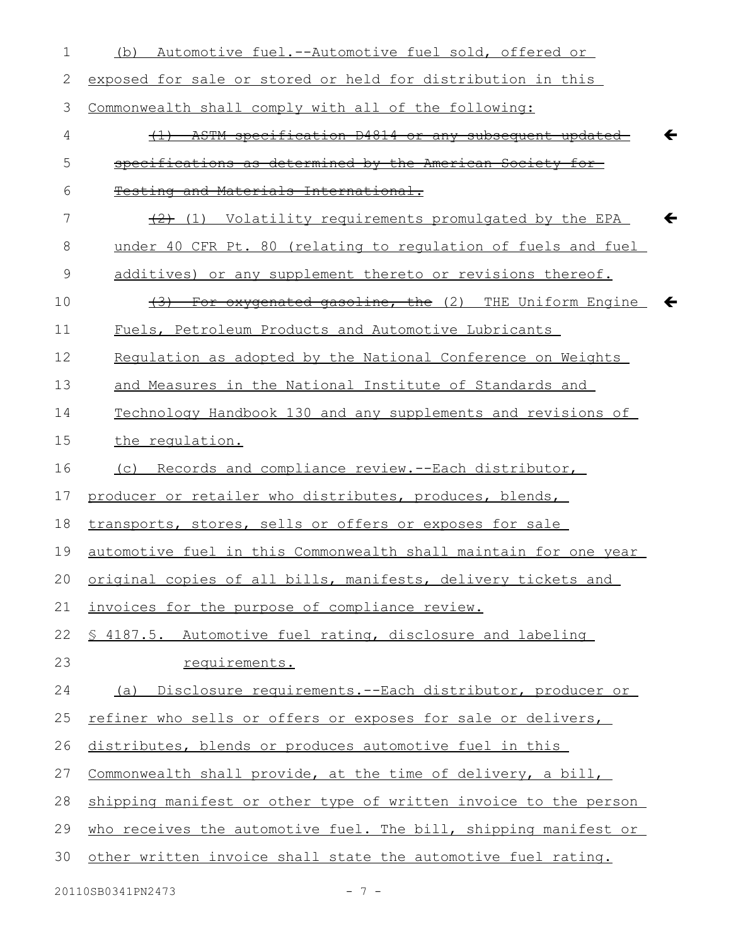| 1           | Automotive fuel.--Automotive fuel sold, offered or<br>(b)                  |
|-------------|----------------------------------------------------------------------------|
| 2           | exposed for sale or stored or held for distribution in this                |
| 3           | Commonwealth shall comply with all of the following:                       |
| 4           | ASTM specification D4814 or any subsequent updated                         |
| 5           | specifications as determined by the American Society for                   |
| 6           | Testing and Materials International.                                       |
| 7           | $\{2\}$ (1) Volatility requirements promulgated by the EPA<br>←            |
| 8           | under 40 CFR Pt. 80 (relating to requlation of fuels and fuel              |
| $\mathsf 9$ | additives) or any supplement thereto or revisions thereof.                 |
| 10          | For oxygenated gasoline, the (2) THE Uniform Engine<br>←<br><del>(3)</del> |
| 11          | Fuels, Petroleum Products and Automotive Lubricants                        |
| 12          | Regulation as adopted by the National Conference on Weights                |
| 13          | and Measures in the National Institute of Standards and                    |
| 14          | Technology Handbook 130 and any supplements and revisions of               |
| 15          | the requlation.                                                            |
| 16          | (c) Records and compliance review.--Each distributor,                      |
| 17          | producer or retailer who distributes, produces, blends,                    |
| 18          | transports, stores, sells or offers or exposes for sale                    |
| 19          | automotive fuel in this Commonwealth shall maintain for one year           |
|             | 20 original copies of all bills, manifests, delivery tickets and           |
| 21          | invoices for the purpose of compliance review.                             |
| 22          | \$ 4187.5. Automotive fuel rating, disclosure and labeling                 |
| 23          | requirements.                                                              |
| 24          | (a) Disclosure requirements.--Each distributor, producer or                |
| 25          | refiner who sells or offers or exposes for sale or delivers,               |
| 26          | distributes, blends or produces automotive fuel in this                    |
| 27          | Commonwealth shall provide, at the time of delivery, a bill,               |
| 28          | shipping manifest or other type of written invoice to the person           |
| 29          | who receives the automotive fuel. The bill, shipping manifest or           |
| 30          | other written invoice shall state the automotive fuel rating.              |
|             |                                                                            |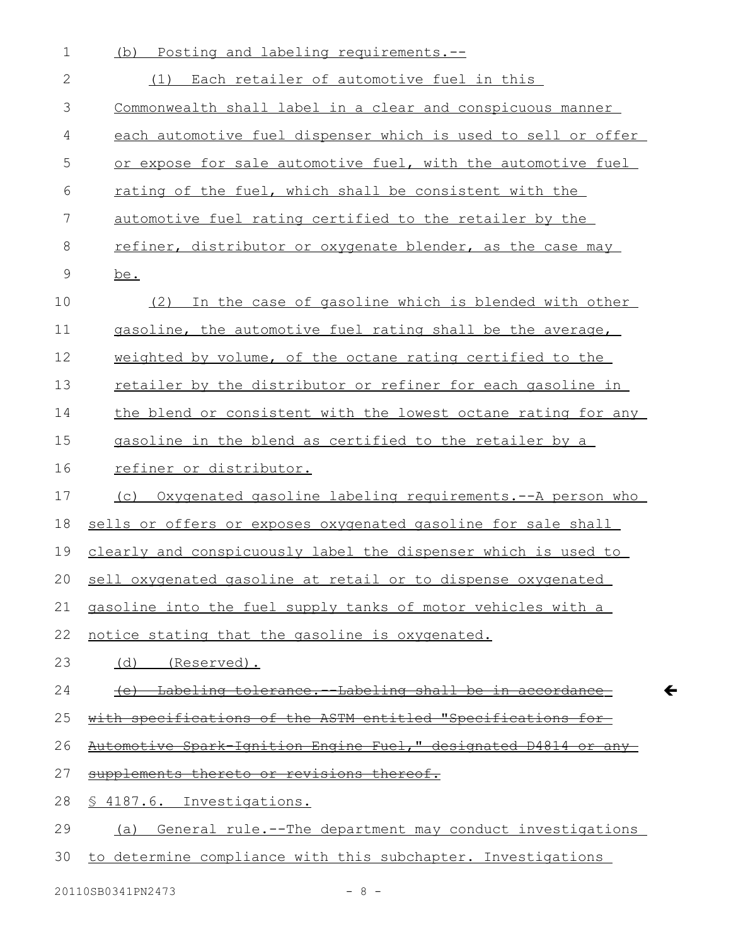| $\mathbf 1$  | Posting and labeling requirements.--<br>(b)                     |
|--------------|-----------------------------------------------------------------|
| $\mathbf{2}$ | (1) Each retailer of automotive fuel in this                    |
| 3            | Commonwealth shall label in a clear and conspicuous manner      |
| 4            | each automotive fuel dispenser which is used to sell or offer   |
| 5            | or expose for sale automotive fuel, with the automotive fuel    |
| 6            | rating of the fuel, which shall be consistent with the          |
| 7            | automotive fuel rating certified to the retailer by the         |
| $8\,$        | refiner, distributor or oxygenate blender, as the case may      |
| $\mathsf 9$  | be.                                                             |
| 10           | In the case of gasoline which is blended with other<br>(2)      |
| 11           | gasoline, the automotive fuel rating shall be the average,      |
| 12           | weighted by volume, of the octane rating certified to the       |
| 13           | retailer by the distributor or refiner for each gasoline in     |
| 14           | the blend or consistent with the lowest octane rating for any   |
| 15           | gasoline in the blend as certified to the retailer by a         |
| 16           | refiner or distributor.                                         |
| 17           | (c) Oxygenated gasoline labeling requirements.--A person who    |
| 18           | sells or offers or exposes oxygenated gasoline for sale shall   |
| 19           | clearly and conspicuously label the dispenser which is used to  |
| 20           | sell oxygenated gasoline at retail or to dispense oxygenated    |
| 21           | gasoline into the fuel supply tanks of motor vehicles with a    |
| 22           | notice stating that the gasoline is oxygenated.                 |
| 23           | (d) (Reserved).                                                 |
| 24           | (e) Labeling tolerance.--Labeling shall be in accordance-       |
| 25           | with specifications of the ASTM entitled "Specifications for    |
| 26           | Automotive Spark Ignition Engine Fuel," designated D4814 or any |
| 27           | supplements thereto or revisions thereof.                       |
| 28           | § 4187.6. Investigations.                                       |
| 29           | (a) General rule.--The department may conduct investigations    |
| 30           | to determine compliance with this subchapter. Investigations    |

20110SB0341PN2473 - 8 -

 $\leftarrow$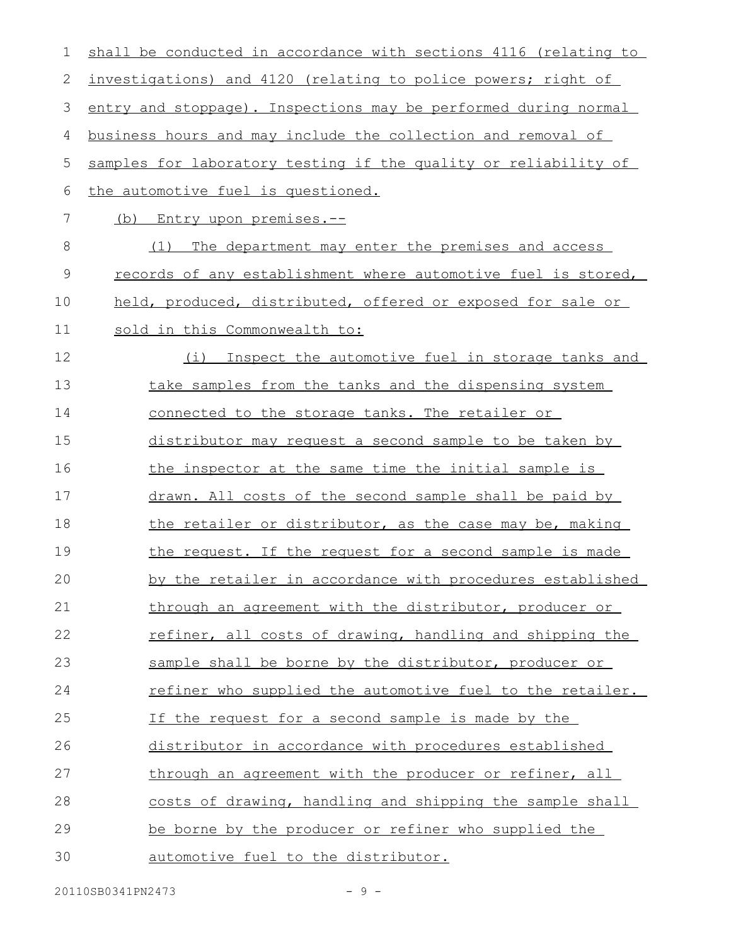| $\mathbf 1$ | shall be conducted in accordance with sections 4116 (relating to |
|-------------|------------------------------------------------------------------|
| 2           | investigations) and 4120 (relating to police powers; right of    |
| 3           | entry and stoppage). Inspections may be performed during normal  |
| 4           | business hours and may include the collection and removal of     |
| 5           | samples for laboratory testing if the quality or reliability of  |
| 6           | the automotive fuel is questioned.                               |
| 7           | (b) Entry upon premises.--                                       |
| 8           | (1)<br>The department may enter the premises and access          |
| $\mathsf 9$ | records of any establishment where automotive fuel is stored,    |
| 10          | held, produced, distributed, offered or exposed for sale or      |
| 11          | sold in this Commonwealth to:                                    |
| 12          | Inspect the automotive fuel in storage tanks and<br>(i)          |
| 13          | take samples from the tanks and the dispensing system            |
| 14          | connected to the storage tanks. The retailer or                  |
| 15          | distributor may request a second sample to be taken by           |
| 16          | the inspector at the same time the initial sample is             |
| 17          | drawn. All costs of the second sample shall be paid by           |
| 18          | the retailer or distributor, as the case may be, making          |
| 19          | the request. If the request for a second sample is made          |
| 20          | by the retailer in accordance with procedures established        |
| 21          | through an agreement with the distributor, producer or           |
| 22          | refiner, all costs of drawing, handling and shipping the         |
| 23          | sample shall be borne by the distributor, producer or            |
| 24          | refiner who supplied the automotive fuel to the retailer.        |
| 25          | If the request for a second sample is made by the                |
| 26          | distributor in accordance with procedures established            |
| 27          | through an agreement with the producer or refiner, all           |
| 28          | costs of drawing, handling and shipping the sample shall         |
| 29          | be borne by the producer or refiner who supplied the             |
| 30          | automotive fuel to the distributor.                              |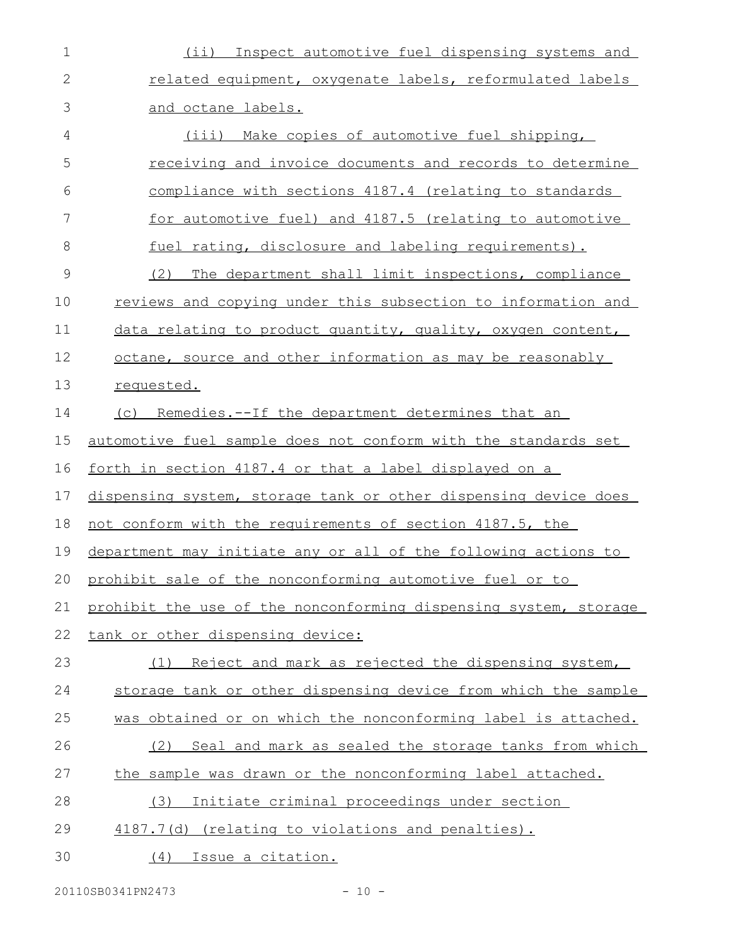| $1\,$         | (ii) Inspect automotive fuel dispensing systems and              |
|---------------|------------------------------------------------------------------|
| $\mathbf{2}$  | related equipment, oxygenate labels, reformulated labels         |
| 3             | and octane labels.                                               |
| 4             | (iii) Make copies of automotive fuel shipping,                   |
| 5             | receiving and invoice documents and records to determine         |
| 6             | compliance with sections 4187.4 (relating to standards           |
| 7             | for automotive fuel) and 4187.5 (relating to automotive          |
| 8             | fuel rating, disclosure and labeling requirements).              |
| $\mathcal{G}$ | (2)<br>The department shall limit inspections, compliance        |
| 10            | reviews and copying under this subsection to information and     |
| 11            | data relating to product quantity, quality, oxygen content,      |
| 12            | octane, source and other information as may be reasonably        |
| 13            | requested.                                                       |
| 14            | (c) Remedies.--If the department determines that an              |
| 15            | automotive fuel sample does not conform with the standards set   |
| 16            | <u>forth in section 4187.4 or that a label displayed on a</u>    |
| 17            | dispensing system, storage tank or other dispensing device does  |
| 18            | not conform with the requirements of section 4187.5, the         |
| 19            | department may initiate any or all of the following actions to   |
| 20            | prohibit sale of the nonconforming automotive fuel or to         |
| 21            | prohibit the use of the nonconforming dispensing system, storage |
| 22            | tank or other dispensing device:                                 |
| 23            | Reject and mark as rejected the dispensing system,<br>(1)        |
| 24            | storage tank or other dispensing device from which the sample    |
| 25            | was obtained or on which the nonconforming label is attached.    |
| 26            | (2) Seal and mark as sealed the storage tanks from which         |
| 27            | the sample was drawn or the nonconforming label attached.        |
| 28            | Initiate criminal proceedings under section<br>(3)               |
| 29            | 4187.7(d) (relating to violations and penalties).                |
| 30            | <u>Issue a citation.</u><br>(4)                                  |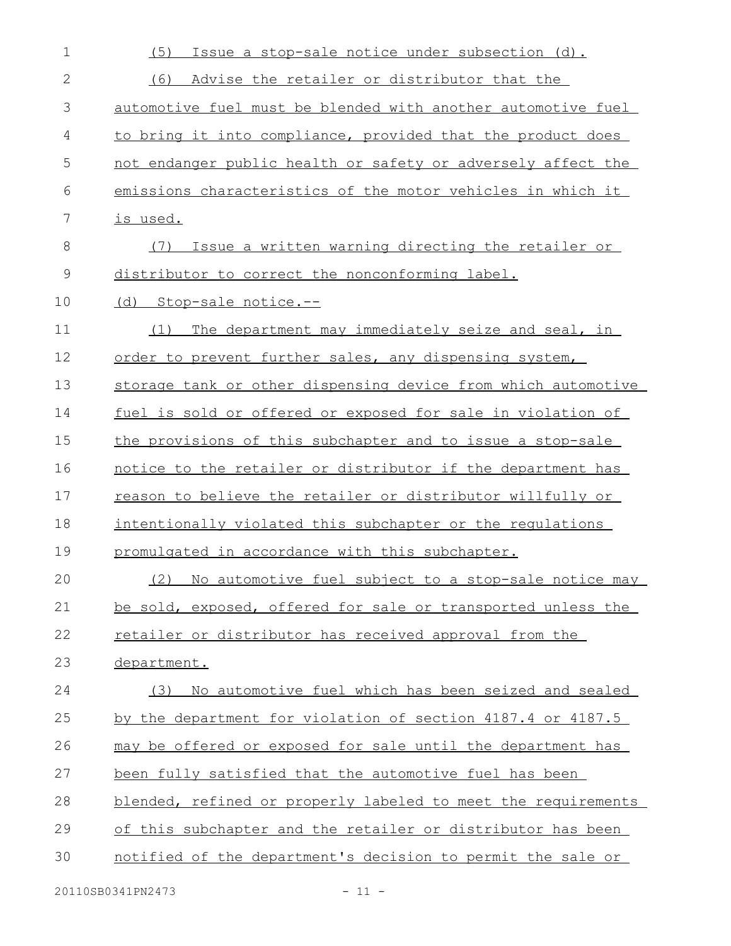| $\mathbf 1$  | Issue a stop-sale notice under subsection (d).<br>(5)         |
|--------------|---------------------------------------------------------------|
| $\mathbf{2}$ | (6)<br>Advise the retailer or distributor that the            |
| 3            | automotive fuel must be blended with another automotive fuel  |
| 4            | to bring it into compliance, provided that the product does   |
| 5            | not endanger public health or safety or adversely affect the  |
| 6            | emissions characteristics of the motor vehicles in which it   |
| 7            | is used.                                                      |
| $8\,$        | Issue a written warning directing the retailer or<br>(7)      |
| 9            | distributor to correct the nonconforming label.               |
| 10           | (d) Stop-sale notice.--                                       |
| 11           | The department may immediately seize and seal, in<br>(1)      |
| 12           | order to prevent further sales, any dispensing system,        |
| 13           | storage tank or other dispensing device from which automotive |
| 14           | fuel is sold or offered or exposed for sale in violation of   |
| 15           | the provisions of this subchapter and to issue a stop-sale    |
| 16           | notice to the retailer or distributor if the department has   |
| 17           | reason to believe the retailer or distributor willfully or    |
| 18           | intentionally violated this subchapter or the regulations     |
| 19           | promulgated in accordance with this subchapter.               |
| 20           | (2) No automotive fuel subject to a stop-sale notice may      |
| 21           | be sold, exposed, offered for sale or transported unless the  |
| 22           | retailer or distributor has received approval from the        |
| 23           | department.                                                   |
| 24           | No automotive fuel which has been seized and sealed<br>(3)    |
| 25           | by the department for violation of section 4187.4 or 4187.5   |
| 26           | may be offered or exposed for sale until the department has   |
| 27           | been fully satisfied that the automotive fuel has been        |
| 28           | blended, refined or properly labeled to meet the requirements |
| 29           | of this subchapter and the retailer or distributor has been   |
| 30           | notified of the department's decision to permit the sale or   |
|              |                                                               |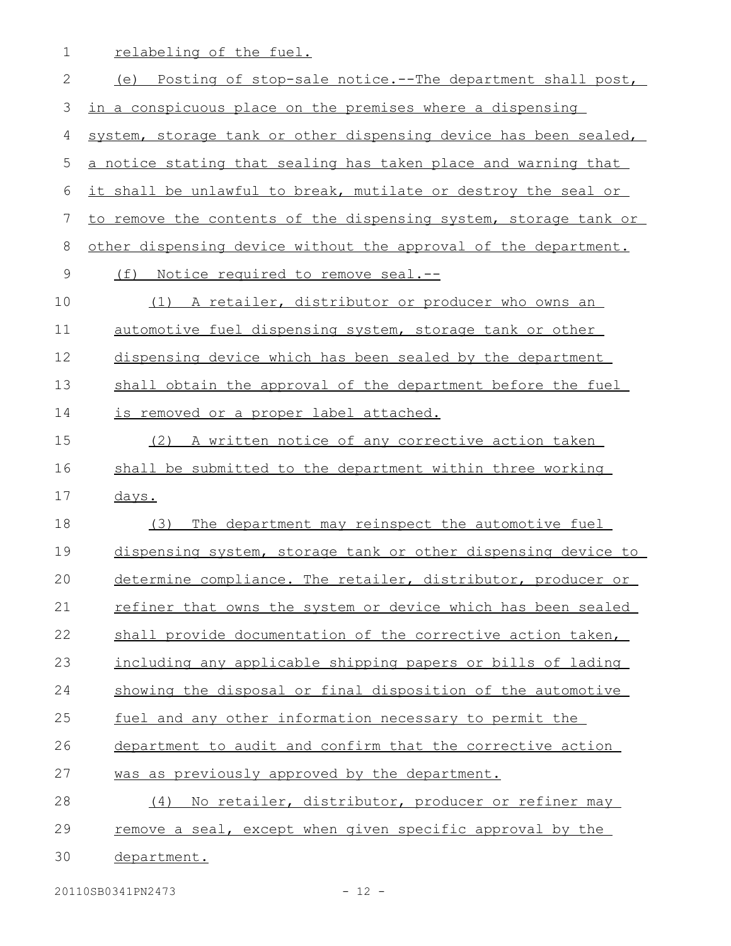relabeling of the fuel. 1

(e) Posting of stop-sale notice.--The department shall post, in a conspicuous place on the premises where a dispensing system, storage tank or other dispensing device has been sealed, a notice stating that sealing has taken place and warning that it shall be unlawful to break, mutilate or destroy the seal or to remove the contents of the dispensing system, storage tank or other dispensing device without the approval of the department. (f) Notice required to remove seal.-- (1) A retailer, distributor or producer who owns an automotive fuel dispensing system, storage tank or other dispensing device which has been sealed by the department shall obtain the approval of the department before the fuel is removed or a proper label attached. (2) A written notice of any corrective action taken shall be submitted to the department within three working days. (3) The department may reinspect the automotive fuel dispensing system, storage tank or other dispensing device to determine compliance. The retailer, distributor, producer or refiner that owns the system or device which has been sealed shall provide documentation of the corrective action taken, including any applicable shipping papers or bills of lading showing the disposal or final disposition of the automotive fuel and any other information necessary to permit the department to audit and confirm that the corrective action was as previously approved by the department. (4) No retailer, distributor, producer or refiner may remove a seal, except when given specific approval by the department. 2 3 4 5 6 7 8 9 10 11 12 13 14 15 16 17 18 19 20 21 22 23 24 25 26 27 28 29 30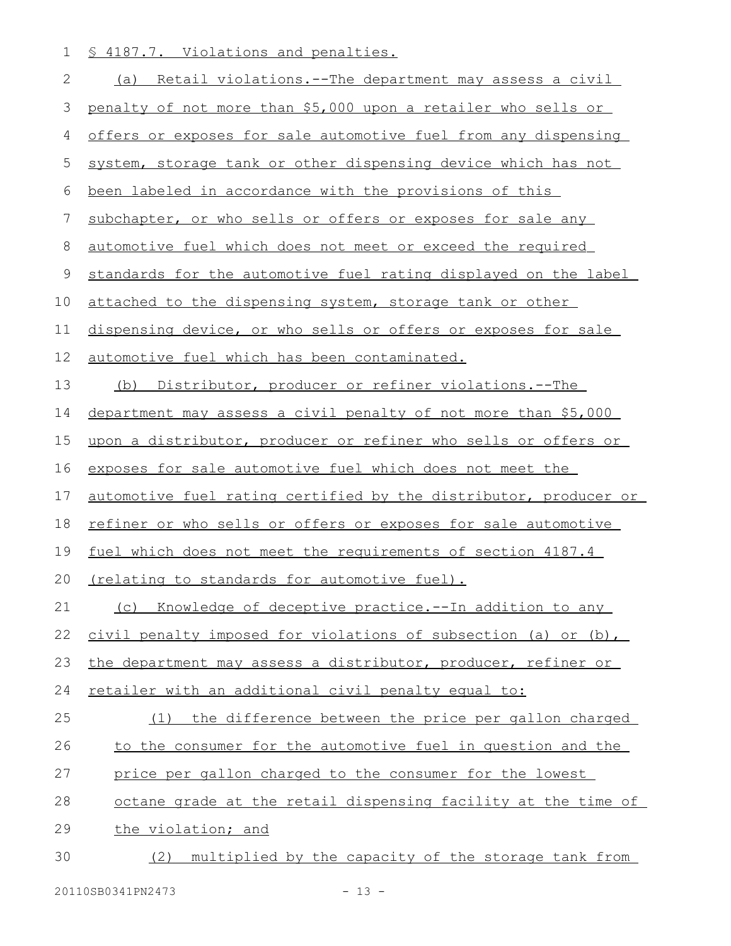1 § 4187.7. Violations and penalties.

| $\mathbf{2}$ | Retail violations.--The department may assess a civil<br>(a)     |
|--------------|------------------------------------------------------------------|
| 3            | penalty of not more than \$5,000 upon a retailer who sells or    |
| 4            | offers or exposes for sale automotive fuel from any dispensing   |
| 5            | system, storage tank or other dispensing device which has not    |
| 6            | been labeled in accordance with the provisions of this           |
| 7            | subchapter, or who sells or offers or exposes for sale any       |
| $\,8\,$      | automotive fuel which does not meet or exceed the required       |
| $\mathsf 9$  | standards for the automotive fuel rating displayed on the label  |
| 10           | attached to the dispensing system, storage tank or other         |
| 11           | dispensing device, or who sells or offers or exposes for sale    |
| 12           | automotive fuel which has been contaminated.                     |
| 13           | (b) Distributor, producer or refiner violations.--The            |
| 14           | department may assess a civil penalty of not more than \$5,000   |
| 15           | upon a distributor, producer or refiner who sells or offers or   |
| 16           | exposes for sale automotive fuel which does not meet the         |
| 17           | automotive fuel rating certified by the distributor, producer or |
| 18           | refiner or who sells or offers or exposes for sale automotive    |
| 19           | fuel which does not meet the requirements of section 4187.4      |
| 20           | (relating to standards for automotive fuel).                     |
| 21           | Knowledge of deceptive practice.--In addition to any<br>(C)      |
| 22           | civil penalty imposed for violations of subsection (a) or (b),   |
| 23           | the department may assess a distributor, producer, refiner or    |
| 24           | retailer with an additional civil penalty equal to:              |
| 25           | the difference between the price per gallon charged<br>(1)       |
| 26           | to the consumer for the automotive fuel in question and the      |
| 27           | price per gallon charged to the consumer for the lowest          |
| 28           | octane grade at the retail dispensing facility at the time of    |
| 29           | the violation; and                                               |
| 30           | multiplied by the capacity of the storage tank from<br>(2)       |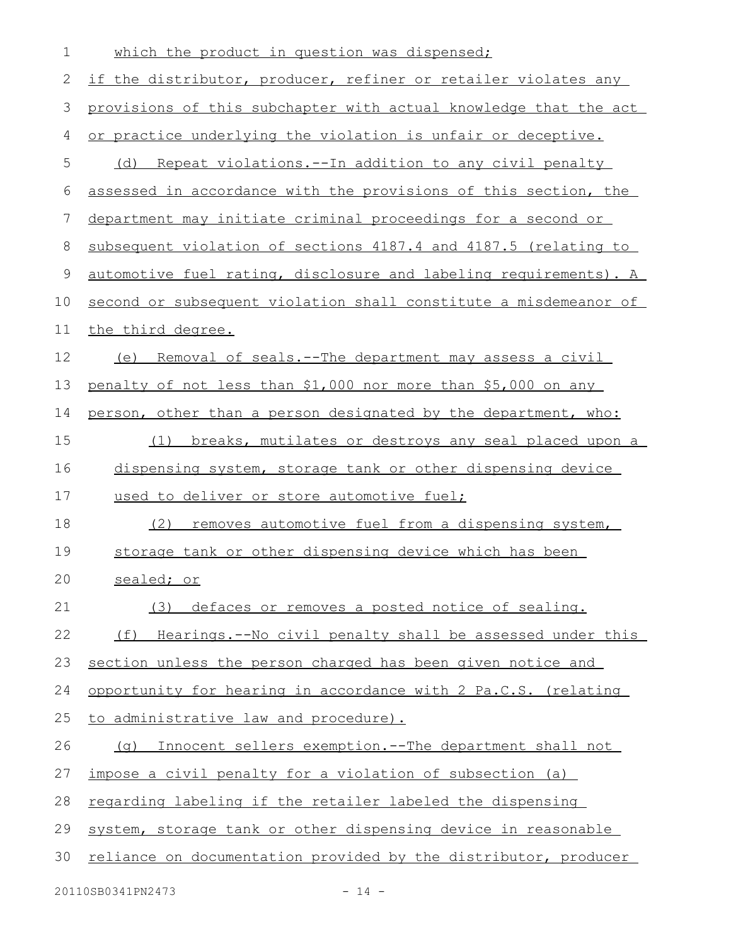| $\mathbf 1$ | which the product in question was dispensed;                     |
|-------------|------------------------------------------------------------------|
| 2           | if the distributor, producer, refiner or retailer violates any   |
| 3           | provisions of this subchapter with actual knowledge that the act |
| 4           | or practice underlying the violation is unfair or deceptive.     |
| 5           | (d) Repeat violations.--In addition to any civil penalty         |
| 6           | assessed in accordance with the provisions of this section, the  |
| 7           | department may initiate criminal proceedings for a second or     |
| 8           | subsequent violation of sections 4187.4 and 4187.5 (relating to  |
| 9           | automotive fuel rating, disclosure and labeling requirements). A |
| 10          | second or subsequent violation shall constitute a misdemeanor of |
| 11          | the third degree.                                                |
| 12          | Removal of seals.--The department may assess a civil<br>(e)      |
| 13          | penalty of not less than \$1,000 nor more than \$5,000 on any    |
| 14          | person, other than a person designated by the department, who:   |
| 15          | breaks, mutilates or destroys any seal placed upon a<br>(1)      |
| 16          | dispensing system, storage tank or other dispensing device       |
| 17          | used to deliver or store automotive fuel;                        |
| 18          | removes automotive fuel from a dispensing system,<br>(2)         |
| 19          | storage tank or other dispensing device which has been           |
| 20          | sealed; or                                                       |
| 21          | (3) defaces or removes a posted notice of sealing.               |
| 22          | (f) Hearings.--No civil penalty shall be assessed under this     |
| 23          | section unless the person charged has been given notice and      |
| 24          | opportunity for hearing in accordance with 2 Pa.C.S. (relating   |
| 25          | to administrative law and procedure).                            |
| 26          | (g) Innocent sellers exemption.--The department shall not        |
| 27          | impose a civil penalty for a violation of subsection (a)         |
| 28          | regarding labeling if the retailer labeled the dispensing        |
| 29          | system, storage tank or other dispensing device in reasonable    |
| 30          | reliance on documentation provided by the distributor, producer  |
|             | 20110SB0341PN2473<br>$-14 -$                                     |